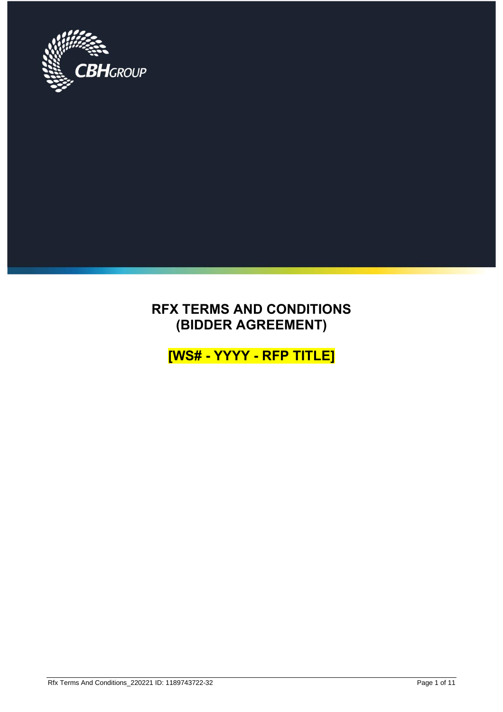

# **RFX TERMS AND CONDITIONS (BIDDER AGREEMENT)**

**[WS# - YYYY - RFP TITLE]**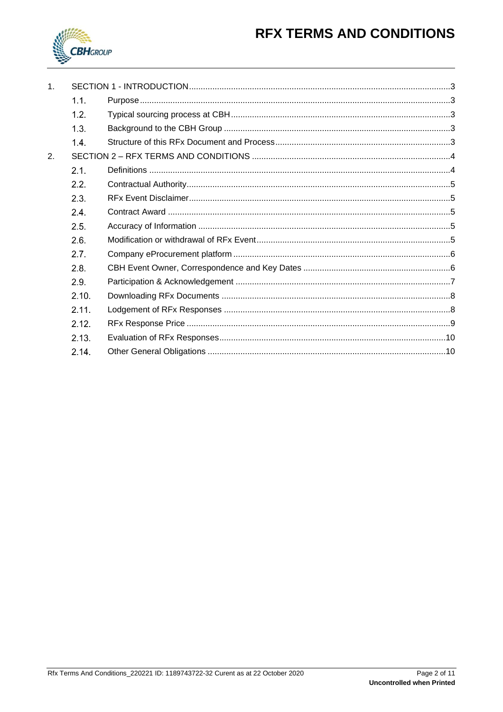# **RFX TERMS AND CONDITIONS**



| 1 <sub>1</sub> |                  |  |  |
|----------------|------------------|--|--|
|                | 1.1.             |  |  |
|                | 1.2.             |  |  |
|                | 1.3 <sub>1</sub> |  |  |
|                | 1.4.             |  |  |
| 2.             |                  |  |  |
|                | 2.1.             |  |  |
|                | 2.2.             |  |  |
|                | 2.3.             |  |  |
|                | 2.4.             |  |  |
|                | 2.5.             |  |  |
|                | 2.6.             |  |  |
|                | 2.7.             |  |  |
|                | 2.8.             |  |  |
|                | 2.9.             |  |  |
|                | 2.10.            |  |  |
|                | 2.11.            |  |  |
|                | 2.12.            |  |  |
|                | 2.13.            |  |  |
|                | 2.14.            |  |  |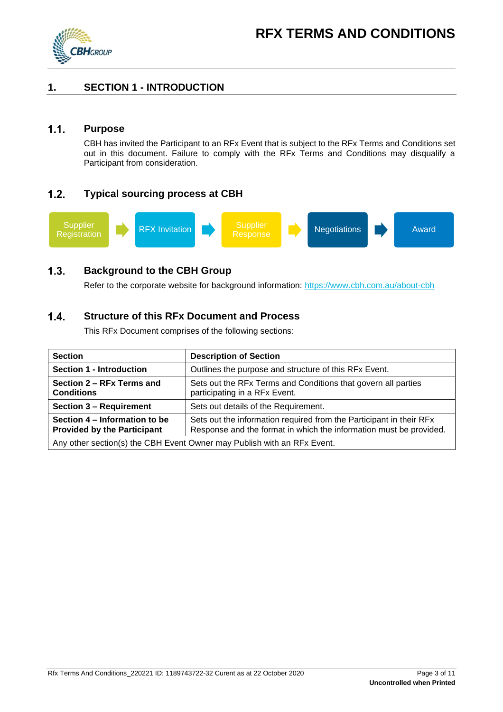

# <span id="page-2-0"></span>**1. SECTION 1 - INTRODUCTION**

#### <span id="page-2-1"></span> $1.1.$ **Purpose**

CBH has invited the Participant to an RFx Event that is subject to the RFx Terms and Conditions set out in this document. Failure to comply with the RFx Terms and Conditions may disqualify a Participant from consideration.

#### <span id="page-2-2"></span> $1.2.$ **Typical sourcing process at CBH**



#### <span id="page-2-3"></span> $1.3.$ **Background to the CBH Group**

Refer to the corporate website for background information:<https://www.cbh.com.au/about-cbh>

#### <span id="page-2-4"></span>**Structure of this RFx Document and Process**  $1.4.$

This RFx Document comprises of the following sections:

| <b>Section</b>                                                          | <b>Description of Section</b>                                                                                                             |  |
|-------------------------------------------------------------------------|-------------------------------------------------------------------------------------------------------------------------------------------|--|
| <b>Section 1 - Introduction</b>                                         | Outlines the purpose and structure of this RFx Event.                                                                                     |  |
| Section 2 – RFx Terms and<br><b>Conditions</b>                          | Sets out the RFx Terms and Conditions that govern all parties<br>participating in a RFx Event.                                            |  |
| <b>Section 3 - Requirement</b>                                          | Sets out details of the Requirement.                                                                                                      |  |
| Section 4 – Information to be<br><b>Provided by the Participant</b>     | Sets out the information required from the Participant in their RFx<br>Response and the format in which the information must be provided. |  |
| Any other section(s) the CBH Event Owner may Publish with an RFx Event. |                                                                                                                                           |  |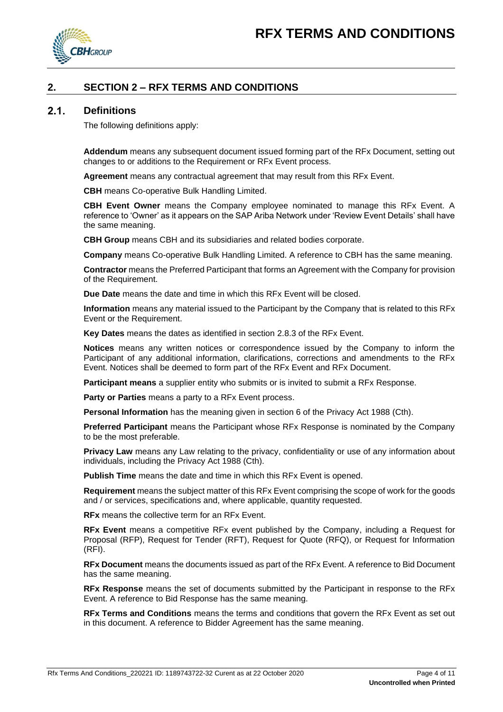

# <span id="page-3-0"></span>**2. SECTION 2 – RFX TERMS AND CONDITIONS**

#### <span id="page-3-1"></span> $2.1.$ **Definitions**

The following definitions apply:

**Addendum** means any subsequent document issued forming part of the RFx Document, setting out changes to or additions to the Requirement or RFx Event process.

**Agreement** means any contractual agreement that may result from this RFx Event.

**CBH** means Co-operative Bulk Handling Limited.

**CBH Event Owner** means the Company employee nominated to manage this RFx Event. A reference to 'Owner' as it appears on the SAP Ariba Network under 'Review Event Details' shall have the same meaning.

**CBH Group** means CBH and its subsidiaries and related bodies corporate.

**Company** means Co-operative Bulk Handling Limited. A reference to CBH has the same meaning.

**Contractor** means the Preferred Participant that forms an Agreement with the Company for provision of the Requirement.

**Due Date** means the date and time in which this RFx Event will be closed.

**Information** means any material issued to the Participant by the Company that is related to this RFx Event or the Requirement.

**Key Dates** means the dates as identified in section [2.8.3](#page-6-1) of the RFx Event.

**Notices** means any written notices or correspondence issued by the Company to inform the Participant of any additional information, clarifications, corrections and amendments to the RFx Event. Notices shall be deemed to form part of the RFx Event and RFx Document.

**Participant means** a supplier entity who submits or is invited to submit a RFx Response.

**Party or Parties** means a party to a RFx Event process.

**Personal Information** has the meaning given in section 6 of the Privacy Act 1988 (Cth).

**Preferred Participant** means the Participant whose RFx Response is nominated by the Company to be the most preferable.

**Privacy Law** means any Law relating to the privacy, confidentiality or use of any information about individuals, including the Privacy Act 1988 (Cth).

**Publish Time** means the date and time in which this RFx Event is opened.

**Requirement** means the subject matter of this RFx Event comprising the scope of work for the goods and / or services, specifications and, where applicable, quantity requested.

**RFx** means the collective term for an RFx Event.

**RFx Event** means a competitive RFx event published by the Company, including a Request for Proposal (RFP), Request for Tender (RFT), Request for Quote (RFQ), or Request for Information (RFI).

**RFx Document** means the documents issued as part of the RFx Event. A reference to Bid Document has the same meaning.

**RFx Response** means the set of documents submitted by the Participant in response to the RFx Event. A reference to Bid Response has the same meaning.

**RFx Terms and Conditions** means the terms and conditions that govern the RFx Event as set out in this document. A reference to Bidder Agreement has the same meaning.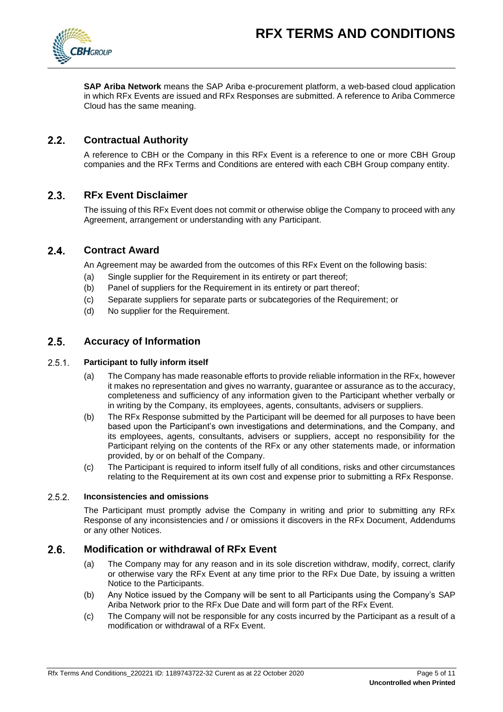

**SAP Ariba Network** means the SAP Ariba e-procurement platform, a web-based cloud application in which RFx Events are issued and RFx Responses are submitted. A reference to Ariba Commerce Cloud has the same meaning.

#### <span id="page-4-0"></span> $2.2.$ **Contractual Authority**

A reference to CBH or the Company in this RFx Event is a reference to one or more CBH Group companies and the RFx Terms and Conditions are entered with each CBH Group company entity.

#### <span id="page-4-1"></span> $2.3.$ **RFx Event Disclaimer**

The issuing of this RFx Event does not commit or otherwise oblige the Company to proceed with any Agreement, arrangement or understanding with any Participant.

#### <span id="page-4-2"></span> $2.4.$ **Contract Award**

An Agreement may be awarded from the outcomes of this RFx Event on the following basis:

- (a) Single supplier for the Requirement in its entirety or part thereof;
- (b) Panel of suppliers for the Requirement in its entirety or part thereof;
- (c) Separate suppliers for separate parts or subcategories of the Requirement; or
- (d) No supplier for the Requirement.

#### <span id="page-4-3"></span> $2.5.$ **Accuracy of Information**

#### $2.5.1.$ **Participant to fully inform itself**

- (a) The Company has made reasonable efforts to provide reliable information in the RFx, however it makes no representation and gives no warranty, guarantee or assurance as to the accuracy, completeness and sufficiency of any information given to the Participant whether verbally or in writing by the Company, its employees, agents, consultants, advisers or suppliers.
- (b) The RFx Response submitted by the Participant will be deemed for all purposes to have been based upon the Participant's own investigations and determinations, and the Company, and its employees, agents, consultants, advisers or suppliers, accept no responsibility for the Participant relying on the contents of the RFx or any other statements made, or information provided, by or on behalf of the Company.
- (c) The Participant is required to inform itself fully of all conditions, risks and other circumstances relating to the Requirement at its own cost and expense prior to submitting a RFx Response.

#### $2.5.2$ **Inconsistencies and omissions**

The Participant must promptly advise the Company in writing and prior to submitting any RFx Response of any inconsistencies and / or omissions it discovers in the RFx Document, Addendums or any other Notices.

#### <span id="page-4-4"></span> $2.6.$ **Modification or withdrawal of RFx Event**

- (a) The Company may for any reason and in its sole discretion withdraw, modify, correct, clarify or otherwise vary the RFx Event at any time prior to the RFx Due Date, by issuing a written Notice to the Participants.
- (b) Any Notice issued by the Company will be sent to all Participants using the Company's SAP Ariba Network prior to the RFx Due Date and will form part of the RFx Event.
- (c) The Company will not be responsible for any costs incurred by the Participant as a result of a modification or withdrawal of a RFx Event.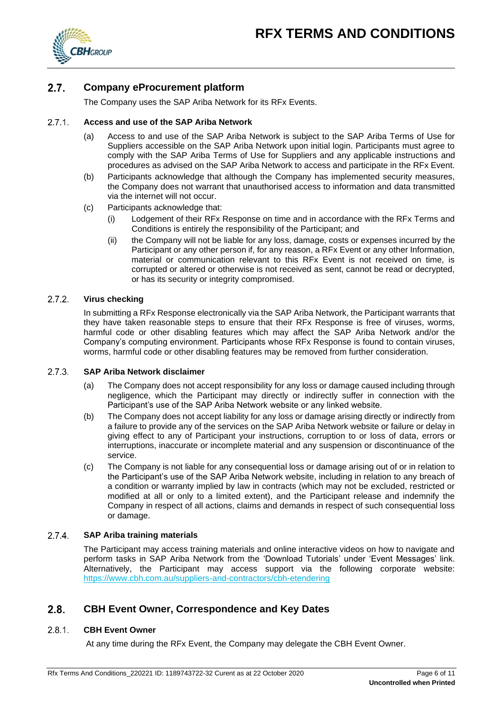

#### <span id="page-5-0"></span> $2.7.$ **Company eProcurement platform**

The Company uses the SAP Ariba Network for its RFx Events.

#### $2.7.1.$ **Access and use of the SAP Ariba Network**

- (a) Access to and use of the SAP Ariba Network is subject to the SAP Ariba Terms of Use for Suppliers accessible on the SAP Ariba Network upon initial login. Participants must agree to comply with the SAP Ariba Terms of Use for Suppliers and any applicable instructions and procedures as advised on the SAP Ariba Network to access and participate in the RFx Event.
- (b) Participants acknowledge that although the Company has implemented security measures, the Company does not warrant that unauthorised access to information and data transmitted via the internet will not occur.
- (c) Participants acknowledge that:
	- (i) Lodgement of their RFx Response on time and in accordance with the RFx Terms and Conditions is entirely the responsibility of the Participant; and
	- (ii) the Company will not be liable for any loss, damage, costs or expenses incurred by the Participant or any other person if, for any reason, a RFx Event or any other Information, material or communication relevant to this RFx Event is not received on time, is corrupted or altered or otherwise is not received as sent, cannot be read or decrypted, or has its security or integrity compromised.

#### $2.7.2.$ **Virus checking**

In submitting a RFx Response electronically via the SAP Ariba Network, the Participant warrants that they have taken reasonable steps to ensure that their RFx Response is free of viruses, worms, harmful code or other disabling features which may affect the SAP Ariba Network and/or the Company's computing environment. Participants whose RFx Response is found to contain viruses, worms, harmful code or other disabling features may be removed from further consideration.

#### $2.7.3.$ **SAP Ariba Network disclaimer**

- (a) The Company does not accept responsibility for any loss or damage caused including through negligence, which the Participant may directly or indirectly suffer in connection with the Participant's use of the SAP Ariba Network website or any linked website.
- (b) The Company does not accept liability for any loss or damage arising directly or indirectly from a failure to provide any of the services on the SAP Ariba Network website or failure or delay in giving effect to any of Participant your instructions, corruption to or loss of data, errors or interruptions, inaccurate or incomplete material and any suspension or discontinuance of the service.
- (c) The Company is not liable for any consequential loss or damage arising out of or in relation to the Participant's use of the SAP Ariba Network website, including in relation to any breach of a condition or warranty implied by law in contracts (which may not be excluded, restricted or modified at all or only to a limited extent), and the Participant release and indemnify the Company in respect of all actions, claims and demands in respect of such consequential loss or damage.

#### $2.7.4$ **SAP Ariba training materials**

The Participant may access training materials and online interactive videos on how to navigate and perform tasks in SAP Ariba Network from the 'Download Tutorials' under 'Event Messages' link. Alternatively, the Participant may access support via the following corporate website: <https://www.cbh.com.au/suppliers-and-contractors/cbh-etendering>

#### <span id="page-5-1"></span> $2.8.$ **CBH Event Owner, Correspondence and Key Dates**

#### $2.8.1$ **CBH Event Owner**

At any time during the RFx Event, the Company may delegate the CBH Event Owner.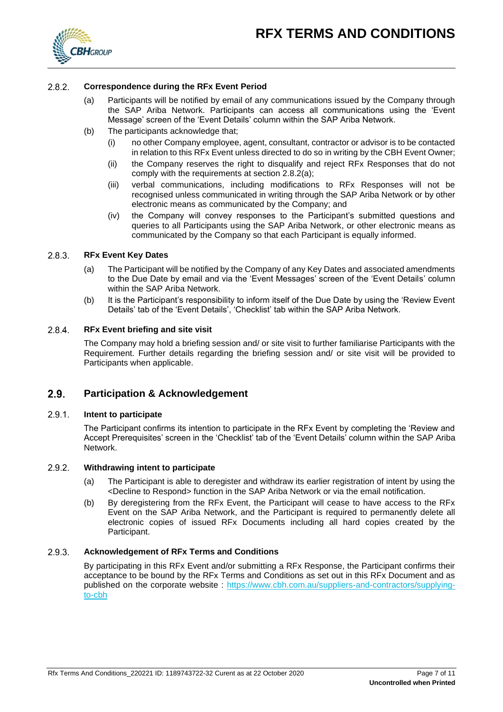

#### $2.8.2.$ **Correspondence during the RFx Event Period**

- (a) Participants will be notified by email of any communications issued by the Company through the SAP Ariba Network. Participants can access all communications using the 'Event Message' screen of the 'Event Details' column within the SAP Ariba Network.
- (b) The participants acknowledge that;
	- (i) no other Company employee, agent, consultant, contractor or advisor is to be contacted in relation to this RFx Event unless directed to do so in writing by the CBH Event Owner;
	- (ii) the Company reserves the right to disqualify and reject RFx Responses that do not comply with the requirements at section 2.8.2(a);
	- (iii) verbal communications, including modifications to RFx Responses will not be recognised unless communicated in writing through the SAP Ariba Network or by other electronic means as communicated by the Company; and
	- (iv) the Company will convey responses to the Participant's submitted questions and queries to all Participants using the SAP Ariba Network, or other electronic means as communicated by the Company so that each Participant is equally informed.

#### <span id="page-6-1"></span> $2.8.3.$ **RFx Event Key Dates**

- (a) The Participant will be notified by the Company of any Key Dates and associated amendments to the Due Date by email and via the 'Event Messages' screen of the 'Event Details' column within the SAP Ariba Network.
- (b) It is the Participant's responsibility to inform itself of the Due Date by using the 'Review Event Details' tab of the 'Event Details', 'Checklist' tab within the SAP Ariba Network.

#### $2.8.4.$ **RFx Event briefing and site visit**

The Company may hold a briefing session and/ or site visit to further familiarise Participants with the Requirement. Further details regarding the briefing session and/ or site visit will be provided to Participants when applicable.

#### <span id="page-6-0"></span> $2.9.$ **Participation & Acknowledgement**

#### <span id="page-6-2"></span> $2.9.1.$ **Intent to participate**

The Participant confirms its intention to participate in the RFx Event by completing the 'Review and Accept Prerequisites' screen in the 'Checklist' tab of the 'Event Details' column within the SAP Ariba Network.

#### <span id="page-6-3"></span> $2.9.2.$ **Withdrawing intent to participate**

- (a) The Participant is able to deregister and withdraw its earlier registration of intent by using the <Decline to Respond> function in the SAP Ariba Network or via the email notification.
- (b) By deregistering from the RFx Event, the Participant will cease to have access to the RFx Event on the SAP Ariba Network, and the Participant is required to permanently delete all electronic copies of issued RFx Documents including all hard copies created by the Participant.

#### $2.9.3.$ **Acknowledgement of RFx Terms and Conditions**

By participating in this RFx Event and/or submitting a RFx Response, the Participant confirms their acceptance to be bound by the RFx Terms and Conditions as set out in this RFx Document and as published on the corporate website : [https://www.cbh.com.au/suppliers-and-contractors/supplying](https://www.cbh.com.au/suppliers-and-contractors/supplying-to-cbh)[to-cbh](https://www.cbh.com.au/suppliers-and-contractors/supplying-to-cbh)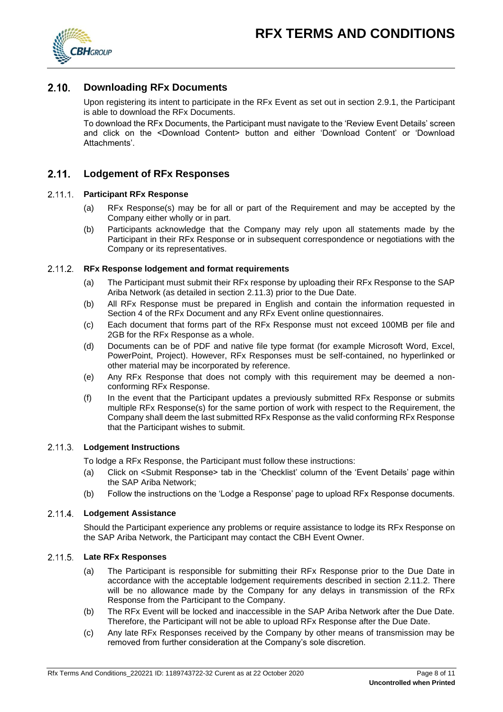

#### <span id="page-7-0"></span> $2.10.$ **Downloading RFx Documents**

Upon registering its intent to participate in the RFx Event as set out in section [2.9.1,](#page-6-2) the Participant is able to download the RFx Documents.

To download the RFx Documents, the Participant must navigate to the 'Review Event Details' screen and click on the <Download Content> button and either 'Download Content' or 'Download Attachments'.

#### <span id="page-7-1"></span> $2.11$ **Lodgement of RFx Responses**

# **Participant RFx Response**

- (a) RFx Response(s) may be for all or part of the Requirement and may be accepted by the Company either wholly or in part.
- (b) Participants acknowledge that the Company may rely upon all statements made by the Participant in their RFx Response or in subsequent correspondence or negotiations with the Company or its representatives.

# <span id="page-7-3"></span>**RFx Response lodgement and format requirements**

- (a) The Participant must submit their RFx response by uploading their RFx Response to the SAP Ariba Network (as detailed in section [2.11.3\)](#page-7-2) prior to the Due Date.
- (b) All RFx Response must be prepared in English and contain the information requested in Section 4 of the RFx Document and any RFx Event online questionnaires.
- (c) Each document that forms part of the RFx Response must not exceed 100MB per file and 2GB for the RFx Response as a whole.
- (d) Documents can be of PDF and native file type format (for example Microsoft Word, Excel, PowerPoint, Project). However, RFx Responses must be self-contained, no hyperlinked or other material may be incorporated by reference.
- (e) Any RFx Response that does not comply with this requirement may be deemed a nonconforming RFx Response.
- (f) In the event that the Participant updates a previously submitted RFx Response or submits multiple RFx Response(s) for the same portion of work with respect to the Requirement, the Company shall deem the last submitted RFx Response as the valid conforming RFx Response that the Participant wishes to submit.

# <span id="page-7-2"></span>**Lodgement Instructions**

To lodge a RFx Response, the Participant must follow these instructions:

- (a) Click on <Submit Response> tab in the 'Checklist' column of the 'Event Details' page within the SAP Ariba Network;
- (b) Follow the instructions on the 'Lodge a Response' page to upload RFx Response documents.

# **Lodgement Assistance**

Should the Participant experience any problems or require assistance to lodge its RFx Response on the SAP Ariba Network, the Participant may contact the CBH Event Owner.

# **Late RFx Responses**

- (a) The Participant is responsible for submitting their RFx Response prior to the Due Date in accordance with the acceptable lodgement requirements described in section [2.11.2.](#page-7-3) There will be no allowance made by the Company for any delays in transmission of the RFx Response from the Participant to the Company.
- (b) The RFx Event will be locked and inaccessible in the SAP Ariba Network after the Due Date. Therefore, the Participant will not be able to upload RFx Response after the Due Date.
- (c) Any late RFx Responses received by the Company by other means of transmission may be removed from further consideration at the Company's sole discretion.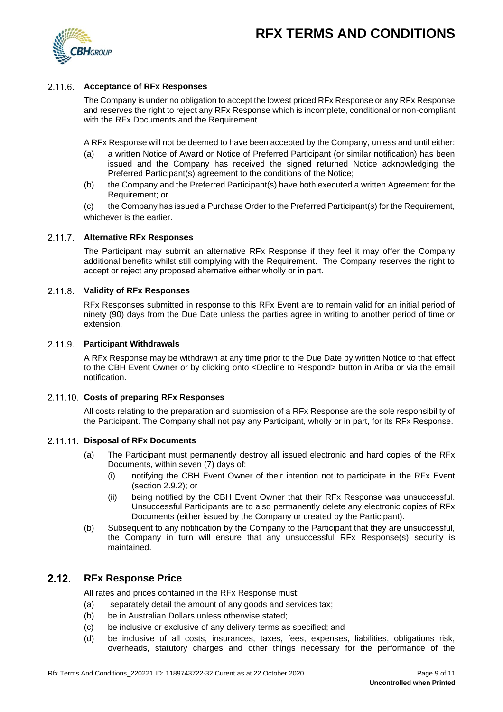

# **Acceptance of RFx Responses**

The Company is under no obligation to accept the lowest priced RFx Response or any RFx Response and reserves the right to reject any RFx Response which is incomplete, conditional or non-compliant with the RFx Documents and the Requirement.

A RFx Response will not be deemed to have been accepted by the Company, unless and until either:

- (a) a written Notice of Award or Notice of Preferred Participant (or similar notification) has been issued and the Company has received the signed returned Notice acknowledging the Preferred Participant(s) agreement to the conditions of the Notice;
- (b) the Company and the Preferred Participant(s) have both executed a written Agreement for the Requirement; or

(c) the Company has issued a Purchase Order to the Preferred Participant(s) for the Requirement, whichever is the earlier.

### **Alternative RFx Responses**

The Participant may submit an alternative RFx Response if they feel it may offer the Company additional benefits whilst still complying with the Requirement. The Company reserves the right to accept or reject any proposed alternative either wholly or in part.

# **Validity of RFx Responses**

RFx Responses submitted in response to this RFx Event are to remain valid for an initial period of ninety (90) days from the Due Date unless the parties agree in writing to another period of time or extension.

### **Participant Withdrawals**

A RFx Response may be withdrawn at any time prior to the Due Date by written Notice to that effect to the CBH Event Owner or by clicking onto <Decline to Respond> button in Ariba or via the email notification.

# **Costs of preparing RFx Responses**

All costs relating to the preparation and submission of a RFx Response are the sole responsibility of the Participant. The Company shall not pay any Participant, wholly or in part, for its RFx Response.

# **Disposal of RFx Documents**

- (a) The Participant must permanently destroy all issued electronic and hard copies of the RFx Documents, within seven (7) days of:
	- (i) notifying the CBH Event Owner of their intention not to participate in the RFx Event (section [2.9.2\)](#page-6-3); or
	- (ii) being notified by the CBH Event Owner that their RFx Response was unsuccessful. Unsuccessful Participants are to also permanently delete any electronic copies of RFx Documents (either issued by the Company or created by the Participant).
- (b) Subsequent to any notification by the Company to the Participant that they are unsuccessful, the Company in turn will ensure that any unsuccessful RFx Response(s) security is maintained.

#### <span id="page-8-0"></span> $2.12<sub>1</sub>$ **RFx Response Price**

All rates and prices contained in the RFx Response must:

- (a) separately detail the amount of any goods and services tax;
- (b) be in Australian Dollars unless otherwise stated;
- (c) be inclusive or exclusive of any delivery terms as specified; and
- (d) be inclusive of all costs, insurances, taxes, fees, expenses, liabilities, obligations risk, overheads, statutory charges and other things necessary for the performance of the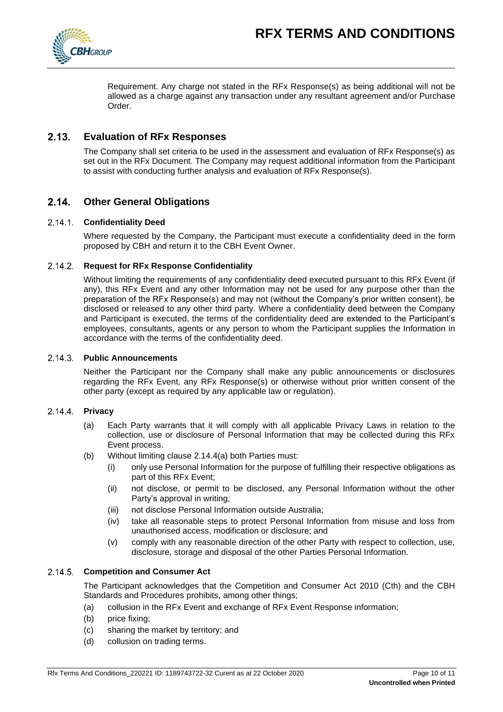

Requirement. Any charge not stated in the RFx Response(s) as being additional will not be allowed as a charge against any transaction under any resultant agreement and/or Purchase Order.

#### <span id="page-9-0"></span> $2.13.$ **Evaluation of RFx Responses**

The Company shall set criteria to be used in the assessment and evaluation of RFx Response(s) as set out in the RFx Document. The Company may request additional information from the Participant to assist with conducting further analysis and evaluation of RFx Response(s).

# <span id="page-9-1"></span>**Other General Obligations**

# **Confidentiality Deed**

Where requested by the Company, the Participant must execute a confidentiality deed in the form proposed by CBH and return it to the CBH Event Owner.

# **Request for RFx Response Confidentiality**

Without limiting the requirements of any confidentiality deed executed pursuant to this RFx Event (if any), this RFx Event and any other Information may not be used for any purpose other than the preparation of the RFx Response(s) and may not (without the Company's prior written consent), be disclosed or released to any other third party. Where a confidentiality deed between the Company and Participant is executed, the terms of the confidentiality deed are extended to the Participant's employees, consultants, agents or any person to whom the Participant supplies the Information in accordance with the terms of the confidentiality deed.

### **Public Announcements**

Neither the Participant nor the Company shall make any public announcements or disclosures regarding the RFx Event, any RFx Response(s) or otherwise without prior written consent of the other party (except as required by any applicable law or regulation).

# <span id="page-9-2"></span>**Privacy**

- (a) Each Party warrants that it will comply with all applicable Privacy Laws in relation to the collection, use or disclosure of Personal Information that may be collected during this RFx Event process.
- (b) Without limiting clause [2.14.4\(](#page-9-2)a) both Parties must:
	- (i) only use Personal Information for the purpose of fulfilling their respective obligations as part of this RFx Event;
	- (ii) not disclose, or permit to be disclosed, any Personal Information without the other Party's approval in writing;
	- (iii) not disclose Personal Information outside Australia;
	- (iv) take all reasonable steps to protect Personal Information from misuse and loss from unauthorised access, modification or disclosure; and
	- (v) comply with any reasonable direction of the other Party with respect to collection, use, disclosure, storage and disposal of the other Parties Personal Information.

# **Competition and Consumer Act**

The Participant acknowledges that the Competition and Consumer Act 2010 (Cth) and the CBH Standards and Procedures prohibits, among other things;

- (a) collusion in the RFx Event and exchange of RFx Event Response information;
- (b) price fixing;
- (c) sharing the market by territory; and
- (d) collusion on trading terms.